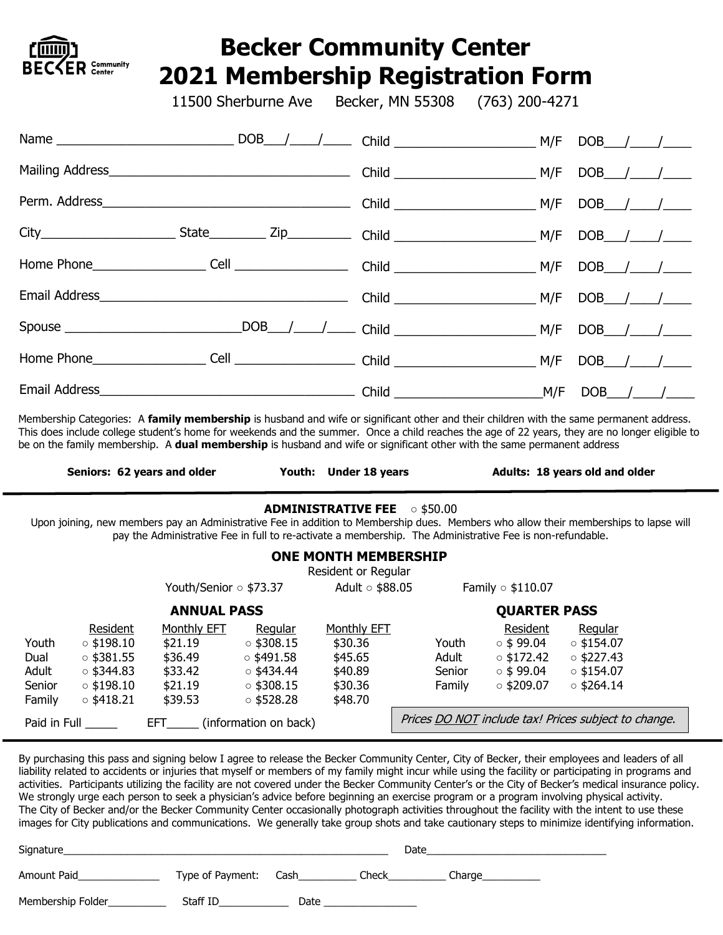

## **Becker Community Center 2021 Membership Registration Form**

| 11500 Sherburne Ave Becker, MN 55308 (763) 200-4271 |  |  |
|-----------------------------------------------------|--|--|
|                                                     |  |  |
|                                                     |  |  |
|                                                     |  |  |
|                                                     |  |  |
|                                                     |  |  |
|                                                     |  |  |
|                                                     |  |  |
|                                                     |  |  |
|                                                     |  |  |

Membership Categories: A **family membership** is husband and wife or significant other and their children with the same permanent address. This does include college student's home for weekends and the summer. Once a child reaches the age of 22 years, they are no longer eligible to be on the family membership. A **dual membership** is husband and wife or significant other with the same permanent address

| Seniors: 62 years and older | Youth: Under 18 years | Adults: 18 years old and older |
|-----------------------------|-----------------------|--------------------------------|
|-----------------------------|-----------------------|--------------------------------|

#### **ADMINISTRATIVE FEE** ○ \$50.00

Upon joining, new members pay an Administrative Fee in addition to Membership dues. Members who allow their memberships to lapse will pay the Administrative Fee in full to re-activate a membership. The Administrative Fee is non-refundable.

#### **ONE MONTH MEMBERSHIP**

Youth/Senior ○ \$73.37 Adult ○ \$88.05 Family ○ \$110.07

Resident or Regular

**QUARTER PASS**

#### **ANNUAL PASS**

Resident Monthly EFT Regular Monthly EFT Youth ○ \$198.10 \$21.19 ○ \$308.15 \$30.36 Dual ○ \$381.55 \$36.49 ○ \$491.58 \$45.65 Adult ○ \$344.83 \$33.42 ○ \$434.44 \$40.89 Senior ○ \$198.10 \$21.19 ○ \$308.15 \$30.36 Family o \$418.21 \$39.53 0 \$528.28 \$48.70 Paid in Full \_\_\_\_\_\_\_ EFT\_\_\_\_\_ (information on back) Resident Regular Youth **○ \$ 99.04** ○ \$154.07 Adult **○ \$172.42** ○ \$227.43 Senior **○ \$ 99.04** ○ \$154.07 Family ○ \$209.07 ○ \$264.14 Prices DO NOT include tax! Prices subject to change.

By purchasing this pass and signing below I agree to release the Becker Community Center, City of Becker, their employees and leaders of all liability related to accidents or injuries that myself or members of my family might incur while using the facility or participating in programs and activities. Participants utilizing the facility are not covered under the Becker Community Center's or the City of Becker's medical insurance policy. We strongly urge each person to seek a physician's advice before beginning an exercise program or a program involving physical activity. The City of Becker and/or the Becker Community Center occasionally photograph activities throughout the facility with the intent to use these images for City publications and communications. We generally take group shots and take cautionary steps to minimize identifying information.

| Signature_         |                  |      | Date  |        |  |
|--------------------|------------------|------|-------|--------|--|
| Amount Paid        | Type of Payment: | Cash | Check | Charge |  |
| Membership Folder_ | Staff ID         | Date |       |        |  |